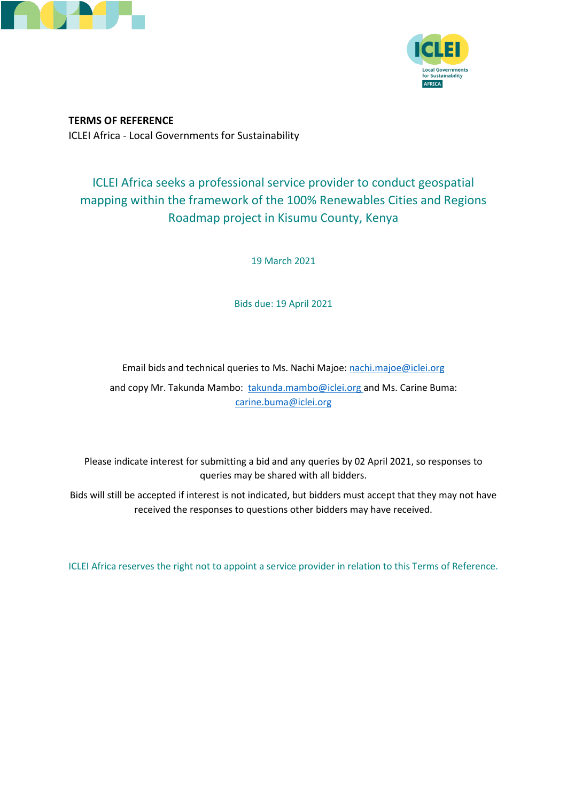



**TERMS OF REFERENCE** ICLEI Africa - Local Governments for Sustainability

# ICLEI Africa seeks a professional service provider to conduct geospatial mapping within the framework of the 100% Renewables Cities and Regions Roadmap project in Kisumu County, Kenya

19 March 2021

Bids due: 19 April 2021

Email bids and technical queries to Ms. Nachi Majoe: [nachi.majoe@iclei.org](mailto:nachi.majoe@iclei.org)

and copy Mr. Takunda Mambo: [takunda.mambo@iclei.org](mailto:takunda.mambo@iclei.org) and Ms. Carine Buma: carine.buma@iclei.org

Please indicate interest for submitting a bid and any queries by 02 April 2021, so responses to queries may be shared with all bidders.

Bids will still be accepted if interest is not indicated, but bidders must accept that they may not have received the responses to questions other bidders may have received.

ICLEI Africa reserves the right not to appoint a service provider in relation to this Terms of Reference.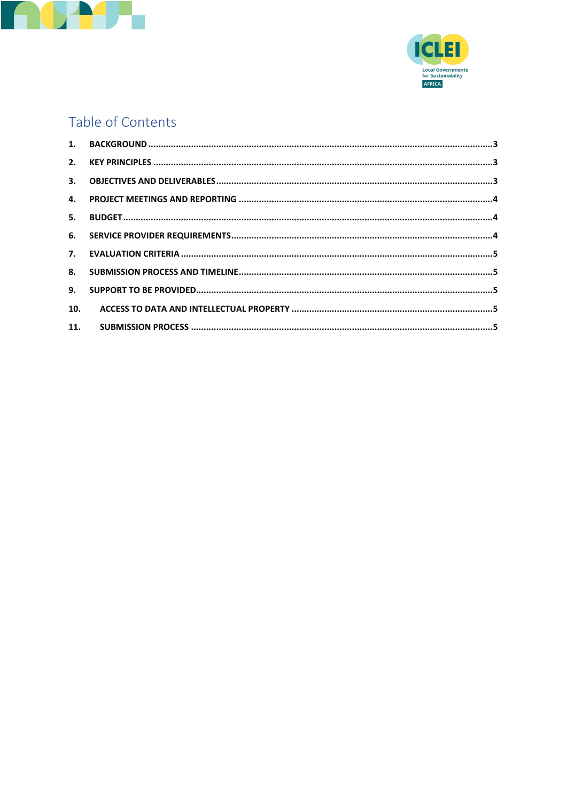



# Table of Contents

| 10. |  |
|-----|--|
|     |  |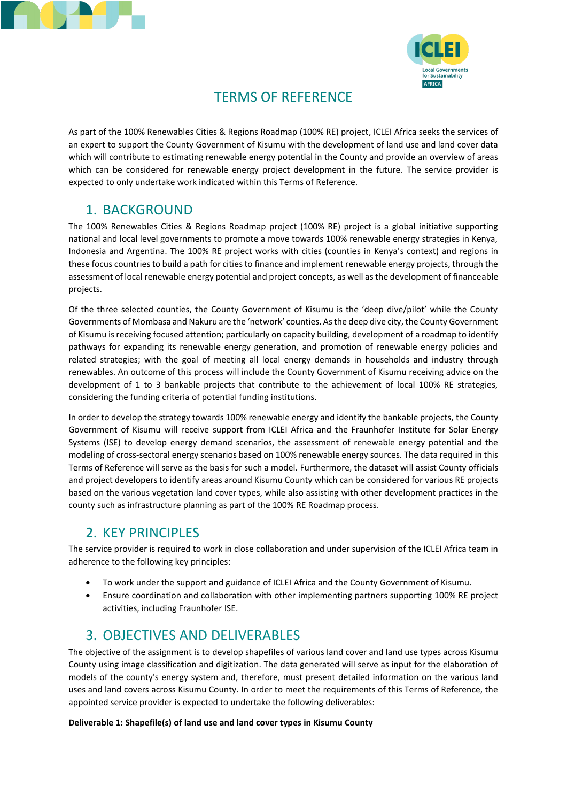



### TERMS OF REFERENCE

As part of the 100% Renewables Cities & Regions Roadmap (100% RE) project, ICLEI Africa seeks the services of an expert to support the County Government of Kisumu with the development of land use and land cover data which will contribute to estimating renewable energy potential in the County and provide an overview of areas which can be considered for renewable energy project development in the future. The service provider is expected to only undertake work indicated within this Terms of Reference.

### <span id="page-2-0"></span>1. BACKGROUND

The 100% Renewables Cities & Regions Roadmap project (100% RE) project is a global initiative supporting national and local level governments to promote a move towards 100% renewable energy strategies in Kenya, Indonesia and Argentina. The 100% RE project works with cities (counties in Kenya's context) and regions in these focus countries to build a path for cities to finance and implement renewable energy projects, through the assessment of local renewable energy potential and project concepts, as well as the development of financeable projects.

Of the three selected counties, the County Government of Kisumu is the 'deep dive/pilot' while the County Governments of Mombasa and Nakuru are the 'network' counties. As the deep dive city, the County Government of Kisumu isreceiving focused attention; particularly on capacity building, development of a roadmap to identify pathways for expanding its renewable energy generation, and promotion of renewable energy policies and related strategies; with the goal of meeting all local energy demands in households and industry through renewables. An outcome of this process will include the County Government of Kisumu receiving advice on the development of 1 to 3 bankable projects that contribute to the achievement of local 100% RE strategies, considering the funding criteria of potential funding institutions.

In order to develop the strategy towards 100% renewable energy and identify the bankable projects, the County Government of Kisumu will receive support from ICLEI Africa and the Fraunhofer Institute for Solar Energy Systems (ISE) to develop energy demand scenarios, the assessment of renewable energy potential and the modeling of cross-sectoral energy scenarios based on 100% renewable energy sources. The data required in this Terms of Reference will serve as the basis for such a model. Furthermore, the dataset will assist County officials and project developers to identify areas around Kisumu County which can be considered for various RE projects based on the various vegetation land cover types, while also assisting with other development practices in the county such as infrastructure planning as part of the 100% RE Roadmap process.

#### <span id="page-2-1"></span>2. KEY PRINCIPLES

The service provider is required to work in close collaboration and under supervision of the ICLEI Africa team in adherence to the following key principles:

- To work under the support and guidance of ICLEI Africa and the County Government of Kisumu.
- Ensure coordination and collaboration with other implementing partners supporting 100% RE project activities, including Fraunhofer ISE.

## <span id="page-2-2"></span>3. OBJECTIVES AND DELIVERABLES

The objective of the assignment is to develop shapefiles of various land cover and land use types across Kisumu County using image classification and digitization. The data generated will serve as input for the elaboration of models of the county's energy system and, therefore, must present detailed information on the various land uses and land covers across Kisumu County. In order to meet the requirements of this Terms of Reference, the appointed service provider is expected to undertake the following deliverables:

#### **Deliverable 1: Shapefile(s) of land use and land cover types in Kisumu County**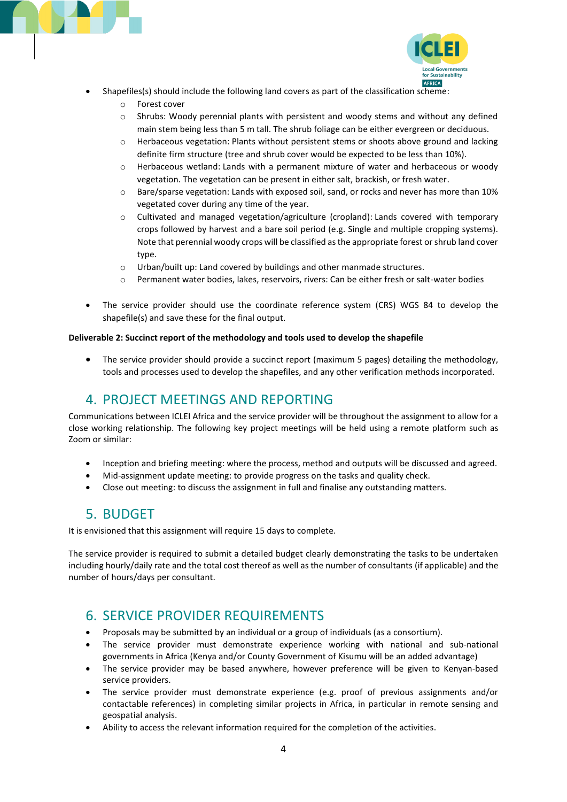



- Shapefiles(s) should include the following land covers as part of the classification scheme:
	- o Forest cover
	- $\circ$  Shrubs: Woody perennial plants with persistent and woody stems and without any defined main stem being less than 5 m tall. The shrub foliage can be either evergreen or deciduous.
	- o Herbaceous vegetation: Plants without persistent stems or shoots above ground and lacking definite firm structure (tree and shrub cover would be expected to be less than 10%).
	- o Herbaceous wetland: Lands with a permanent mixture of water and herbaceous or woody vegetation. The vegetation can be present in either salt, brackish, or fresh water.
	- o Bare/sparse vegetation: Lands with exposed soil, sand, or rocks and never has more than 10% vegetated cover during any time of the year.
	- $\circ$  Cultivated and managed vegetation/agriculture (cropland): Lands covered with temporary crops followed by harvest and a bare soil period (e.g. Single and multiple cropping systems). Note that perennial woody crops will be classified as the appropriate forest or shrub land cover type.
	- o Urban/built up: Land covered by buildings and other manmade structures.
	- o Permanent water bodies, lakes, reservoirs, rivers: Can be either fresh or salt-water bodies
- The service provider should use the coordinate reference system (CRS) WGS 84 to develop the shapefile(s) and save these for the final output.

#### **Deliverable 2: Succinct report of the methodology and tools used to develop the shapefile**

• The service provider should provide a succinct report (maximum 5 pages) detailing the methodology, tools and processes used to develop the shapefiles, and any other verification methods incorporated.

#### <span id="page-3-0"></span>4. PROJECT MEETINGS AND REPORTING

Communications between ICLEI Africa and the service provider will be throughout the assignment to allow for a close working relationship. The following key project meetings will be held using a remote platform such as Zoom or similar:

- Inception and briefing meeting: where the process, method and outputs will be discussed and agreed.
- Mid-assignment update meeting: to provide progress on the tasks and quality check.
- <span id="page-3-1"></span>Close out meeting: to discuss the assignment in full and finalise any outstanding matters.

#### 5. BUDGET

It is envisioned that this assignment will require 15 days to complete.

The service provider is required to submit a detailed budget clearly demonstrating the tasks to be undertaken including hourly/daily rate and the total cost thereof as well as the number of consultants (if applicable) and the number of hours/days per consultant.

#### <span id="page-3-2"></span>6. SERVICE PROVIDER REQUIREMENTS

- Proposals may be submitted by an individual or a group of individuals (as a consortium).
- The service provider must demonstrate experience working with national and sub-national governments in Africa (Kenya and/or County Government of Kisumu will be an added advantage)
- The service provider may be based anywhere, however preference will be given to Kenyan-based service providers.
- The service provider must demonstrate experience (e.g. proof of previous assignments and/or contactable references) in completing similar projects in Africa, in particular in remote sensing and geospatial analysis.
- Ability to access the relevant information required for the completion of the activities.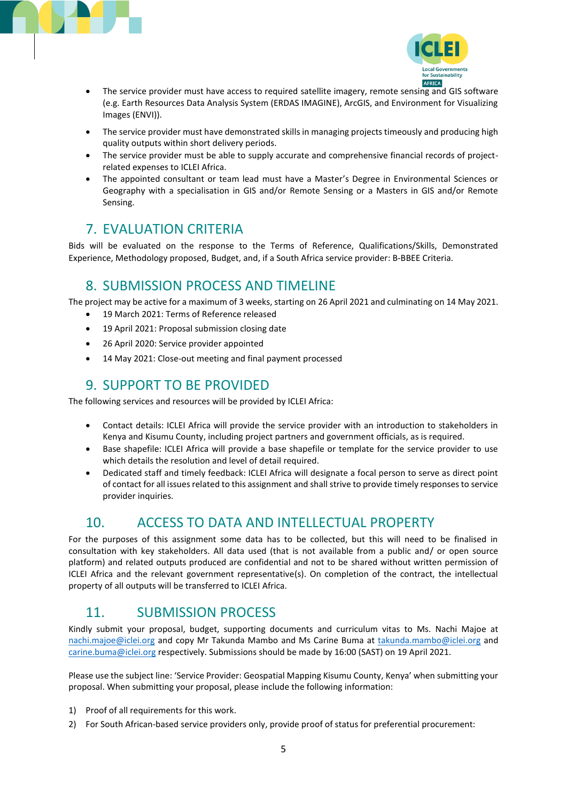



- The service provider must have access to required satellite imagery, remote sensing and GIS software (e.g. Earth Resources Data Analysis System (ERDAS IMAGINE), ArcGIS, and Environment for Visualizing Images (ENVI)).
- The service provider must have demonstrated skills in managing projects timeously and producing high quality outputs within short delivery periods.
- The service provider must be able to supply accurate and comprehensive financial records of projectrelated expenses to ICLEI Africa.
- The appointed consultant or team lead must have a Master's Degree in Environmental Sciences or Geography with a specialisation in GIS and/or Remote Sensing or a Masters in GIS and/or Remote Sensing.

### <span id="page-4-0"></span>7. EVALUATION CRITERIA

Bids will be evaluated on the response to the Terms of Reference, Qualifications/Skills, Demonstrated Experience, Methodology proposed, Budget, and, if a South Africa service provider: B-BBEE Criteria.

#### <span id="page-4-1"></span>8. SUBMISSION PROCESS AND TIMELINE

The project may be active for a maximum of 3 weeks, starting on 26 April 2021 and culminating on 14 May 2021.

- 19 March 2021: Terms of Reference released
- 19 April 2021: Proposal submission closing date
- 26 April 2020: Service provider appointed
- <span id="page-4-2"></span>14 May 2021: Close-out meeting and final payment processed

#### 9. SUPPORT TO BE PROVIDED

The following services and resources will be provided by ICLEI Africa:

- Contact details: ICLEI Africa will provide the service provider with an introduction to stakeholders in Kenya and Kisumu County, including project partners and government officials, as is required.
- Base shapefile: ICLEI Africa will provide a base shapefile or template for the service provider to use which details the resolution and level of detail required.
- Dedicated staff and timely feedback: ICLEI Africa will designate a focal person to serve as direct point of contact for all issues related to this assignment and shall strive to provide timely responses to service provider inquiries.

### <span id="page-4-3"></span>10. ACCESS TO DATA AND INTELLECTUAL PROPERTY

For the purposes of this assignment some data has to be collected, but this will need to be finalised in consultation with key stakeholders. All data used (that is not available from a public and/ or open source platform) and related outputs produced are confidential and not to be shared without written permission of ICLEI Africa and the relevant government representative(s). On completion of the contract, the intellectual property of all outputs will be transferred to ICLEI Africa.

### <span id="page-4-4"></span>11. SUBMISSION PROCESS

Kindly submit your proposal, budget, supporting documents and curriculum vitas to Ms. Nachi Majoe at [nachi.majoe@iclei.org](mailto:nachi.majoe@iclei.org) and copy Mr Takunda Mambo and Ms Carine Buma at [takunda.mambo@iclei.org](mailto:takunda.mambo@iclei.org) and [carine.buma@iclei.org](mailto:carine.buma@iclei.org) respectively. Submissions should be made by 16:00 (SAST) on 19 April 2021.

Please use the subject line: 'Service Provider: Geospatial Mapping Kisumu County, Kenya' when submitting your proposal. When submitting your proposal, please include the following information:

- 1) Proof of all requirements for this work.
- 2) For South African-based service providers only, provide proof of status for preferential procurement: